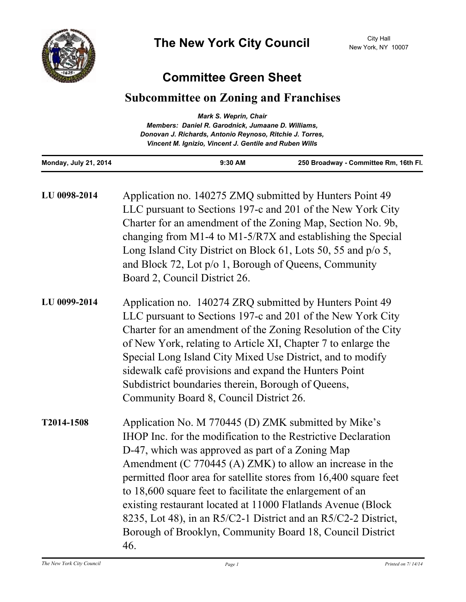

## **Committee Green Sheet**

## **Subcommittee on Zoning and Franchises**

| <b>Mark S. Weprin, Chair</b>                             |  |
|----------------------------------------------------------|--|
| Members: Daniel R. Garodnick, Jumaane D. Williams,       |  |
| Donovan J. Richards, Antonio Reynoso, Ritchie J. Torres, |  |
| Vincent M. Ignizio, Vincent J. Gentile and Ruben Wills   |  |
|                                                          |  |

**Monday, July 21, 2014 9:30 AM 250 Broadway - Committee Rm, 16th Fl.**

| LU 0098-2014 | Application no. 140275 ZMQ submitted by Hunters Point 49<br>LLC pursuant to Sections 197-c and 201 of the New York City<br>Charter for an amendment of the Zoning Map, Section No. 9b,<br>changing from M1-4 to M1-5/R7X and establishing the Special<br>Long Island City District on Block 61, Lots 50, 55 and p/o 5,<br>and Block 72, Lot p/o 1, Borough of Queens, Community<br>Board 2, Council District 26.                                                                                                                                                                |
|--------------|---------------------------------------------------------------------------------------------------------------------------------------------------------------------------------------------------------------------------------------------------------------------------------------------------------------------------------------------------------------------------------------------------------------------------------------------------------------------------------------------------------------------------------------------------------------------------------|
| LU 0099-2014 | Application no. 140274 ZRQ submitted by Hunters Point 49<br>LLC pursuant to Sections 197-c and 201 of the New York City<br>Charter for an amendment of the Zoning Resolution of the City<br>of New York, relating to Article XI, Chapter 7 to enlarge the<br>Special Long Island City Mixed Use District, and to modify<br>sidewalk café provisions and expand the Hunters Point<br>Subdistrict boundaries therein, Borough of Queens,<br>Community Board 8, Council District 26.                                                                                               |
| T2014-1508   | Application No. M 770445 (D) ZMK submitted by Mike's<br>IHOP Inc. for the modification to the Restrictive Declaration<br>D-47, which was approved as part of a Zoning Map<br>Amendment (C $770445$ (A) ZMK) to allow an increase in the<br>permitted floor area for satellite stores from 16,400 square feet<br>to 18,600 square feet to facilitate the enlargement of an<br>existing restaurant located at 11000 Flatlands Avenue (Block<br>8235, Lot 48), in an R5/C2-1 District and an R5/C2-2 District,<br>Borough of Brooklyn, Community Board 18, Council District<br>46. |